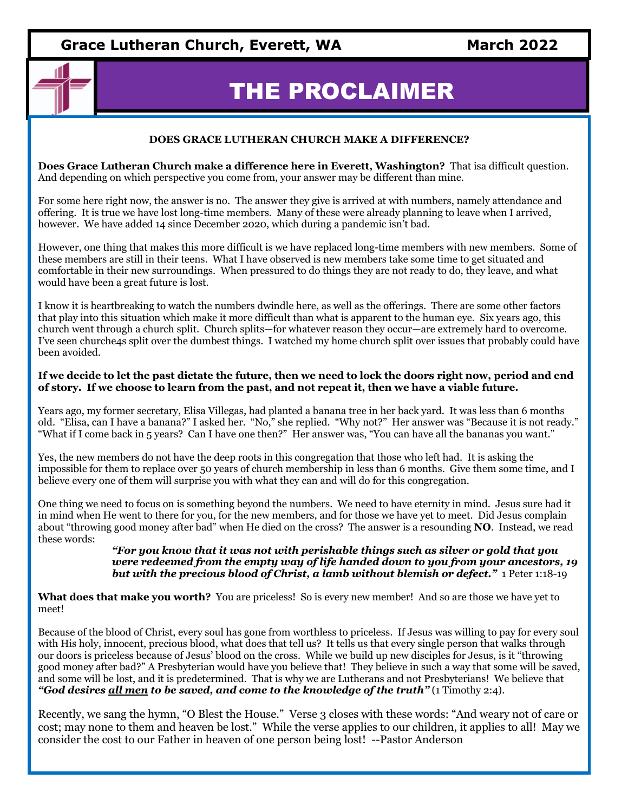

# **THE PROCLAIMER**

#### **DOES GRACE LUTHERAN CHURCH MAKE A DIFFERENCE?**

**Does Grace Lutheran Church make a difference here in Everett, Washington?** That isa difficult question. And depending on which perspective you come from, your answer may be different than mine.

For some here right now, the answer is no. The answer they give is arrived at with numbers, namely attendance and offering. It is true we have lost long-time members. Many of these were already planning to leave when I arrived, however. We have added 14 since December 2020, which during a pandemic isn't bad.

However, one thing that makes this more difficult is we have replaced long-time members with new members. Some of these members are still in their teens. What I have observed is new members take some time to get situated and comfortable in their new surroundings. When pressured to do things they are not ready to do, they leave, and what would have been a great future is lost.

I know it is heartbreaking to watch the numbers dwindle here, as well as the offerings. There are some other factors that play into this situation which make it more difficult than what is apparent to the human eye. Six years ago, this church went through a church split. Church splits—for whatever reason they occur—are extremely hard to overcome. I've seen churche4s split over the dumbest things. I watched my home church split over issues that probably could have been avoided.

#### **If we decide to let the past dictate the future, then we need to lock the doors right now, period and end of story. If we choose to learn from the past, and not repeat it, then we have a viable future.**

Years ago, my former secretary, Elisa Villegas, had planted a banana tree in her back yard. It was less than 6 months old. "Elisa, can I have a banana?" I asked her. "No," she replied. "Why not?" Her answer was "Because it is not ready." "What if I come back in 5 years? Can I have one then?" Her answer was, "You can have all the bananas you want."

Yes, the new members do not have the deep roots in this congregation that those who left had. It is asking the impossible for them to replace over 50 years of church membership in less than 6 months. Give them some time, and I believe every one of them will surprise you with what they can and will do for this congregation.

One thing we need to focus on is something beyond the numbers. We need to have eternity in mind. Jesus sure had it in mind when He went to there for you, for the new members, and for those we have yet to meet. Did Jesus complain about "throwing good money after bad" when He died on the cross? The answer is a resounding **NO**. Instead, we read these words:

#### *³For you know that it was not with perishable things such as silver or gold that you were redeemed from the empty way of life handed down to you from your ancestors, 19*  **but with the precious blood of Christ, a lamb without blemish or defect."** 1 Peter 1:18-19

**What does that make you worth?** You are priceless! So is every new member! And so are those we have yet to meet!

Because of the blood of Christ, every soul has gone from worthless to priceless. If Jesus was willing to pay for every soul with His holy, innocent, precious blood, what does that tell us? It tells us that every single person that walks through our doors is priceless because of Jesus' blood on the cross. While we build up new disciples for Jesus, is it "throwing" good money after bad?" A Presbyterian would have you believe that! They believe in such a way that some will be saved, and some will be lost, and it is predetermined. That is why we are Lutherans and not Presbyterians! We believe that *<sup>4</sup>God desires all men to be saved, and come to the knowledge of the truth***<sup>***n***</sup> (1 Timothy 2:4).** 

Recently, we sang the hymn, "O Blest the House." Verse 3 closes with these words: "And weary not of care or cost; may none to them and heaven be lost." While the verse applies to our children, it applies to all! May we consider the cost to our Father in heaven of one person being lost! --Pastor Anderson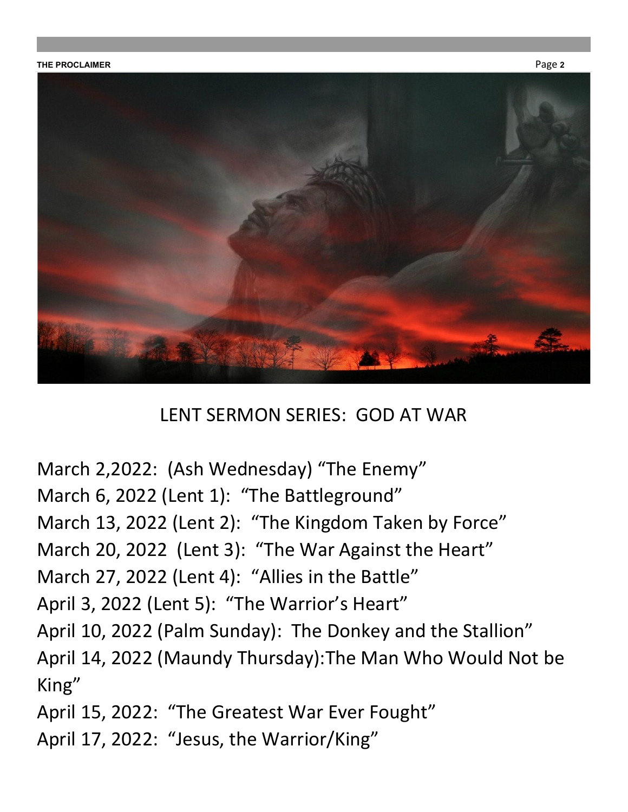

## LENT SERMON SERIES: GOD AT WAR

March 2,2022: (Ash Wednesday) "The Enemy" March 6, 2022 (Lent 1): "The Battleground" March 13, 2022 (Lent 2): "The Kingdom Taken by Force" March 20, 2022 (Lent 3): "The War Against the Heart" March 27, 2022 (Lent 4): "Allies in the Battle" April 3, 2022 (Lent 5): "The Warrior's Heart" April 10, 2022 (Palm Sunday): The Donkey and the Stallion" April 14, 2022 (Maundy Thursday):The Man Who Would Not be King" April 15, 2022: "The Greatest War Ever Fought" April 17, 2022: "Jesus, the Warrior/King"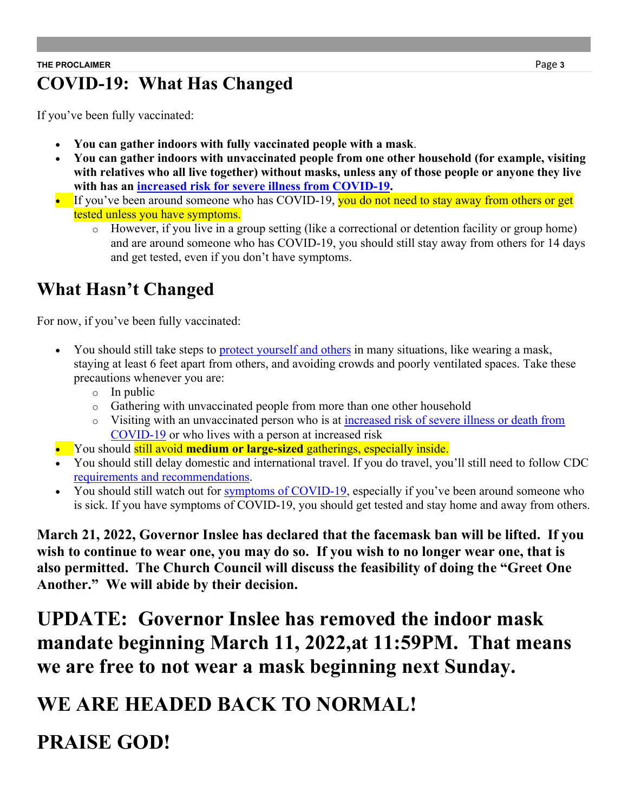### **THE PROCLAIMER** Page 3 **COVID-19: What Has Changed**

If you've been fully vaccinated:

- x **You can gather indoors with fully vaccinated people with a mask**.
- x **You can gather indoors with unvaccinated people from one other household (for example, visiting with relatives who all live together) without masks, unless any of those people or anyone they live with has an [increased risk for severe illness from COVID-19.](https://www.cdc.gov/coronavirus/2019-ncov/need-extra-precautions/people-with-medical-conditions.html)**
- $\bullet$  If you've been around someone who has COVID-19, you do not need to stay away from others or get tested unless you have symptoms.
	- $\circ$  However, if you live in a group setting (like a correctional or detention facility or group home) and are around someone who has COVID-19, you should still stay away from others for 14 days and get tested, even if you don't have symptoms.

## **What Hasn't Changed**

For now, if you've been fully vaccinated:

- You should still take steps to [protect yourself and others](https://www.cdc.gov/coronavirus/2019-ncov/prevent-getting-sick/prevention.html) in many situations, like wearing a mask, staying at least 6 feet apart from others, and avoiding crowds and poorly ventilated spaces. Take these precautions whenever you are:
	- o In public
	- o Gathering with unvaccinated people from more than one other household
	- o Visiting with an unvaccinated person who is at [increased risk of severe illness or death from](https://www.cdc.gov/coronavirus/2019-ncov/need-extra-precautions/people-with-medical-conditions.html)  [COVID-19](https://www.cdc.gov/coronavirus/2019-ncov/need-extra-precautions/people-with-medical-conditions.html) or who lives with a person at increased risk
- **•** You should still avoid medium or large-sized gatherings, especially inside.
- You should still delay domestic and international travel. If you do travel, you'll still need to follow CDC [requirements and recommendations.](https://www.cdc.gov/coronavirus/2019-ncov/travelers/travel-during-covid19.html)
- You should still watch out for [symptoms of COVID-19](https://www.cdc.gov/coronavirus/2019-ncov/symptoms-testing/symptoms.html), especially if you've been around someone who is sick. If you have symptoms of COVID-19, you should get tested and stay home and away from others.

**March 21, 2022, Governor Inslee has declared that the facemask ban will be lifted. If you wish to continue to wear one, you may do so. If you wish to no longer wear one, that is**  also permitted. The Church Council will discuss the feasibility of doing the "Greet One Another." We will abide by their decision.

**UPDATE: Governor Inslee has removed the indoor mask mandate beginning March 11, 2022,at 11:59PM. That means we are free to not wear a mask beginning next Sunday.**

## **WE ARE HEADED BACK TO NORMAL!**

## **PRAISE GOD!**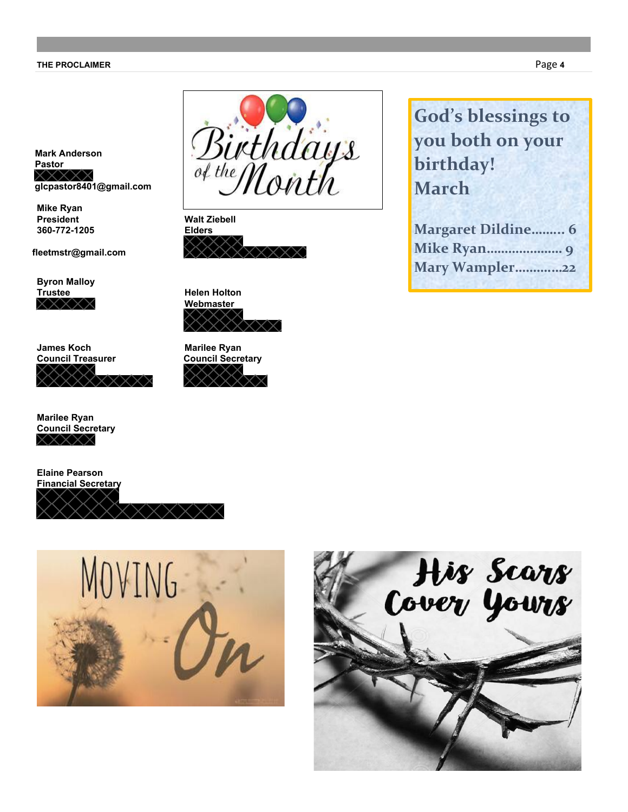#### **THE PROCLAIMER** Page 4

 **Mark Anderson Pastor** 

**glcpastor8401@gmail.com**

**Mike Ryan [360-772-1205](mailto:360-772-1205) Elders**

**fleetmstr@gmail.com**

**Byron Malloy Trustee <b>Helen** Holton

**James Koch Marilee Ryan Council Treasurer Council Secretary**

**Marilee Ryan Council Secretary** XXXXX

**Elaine Pearson Financial Secretary** 







**Walt Ziebell** 

**Webmaster**

God's blessings to **you both on your birthday! March**



**Margaret Dildine......... 6 ǥǥǥǥǥǥǥͥ Mary Wampler.............22** 

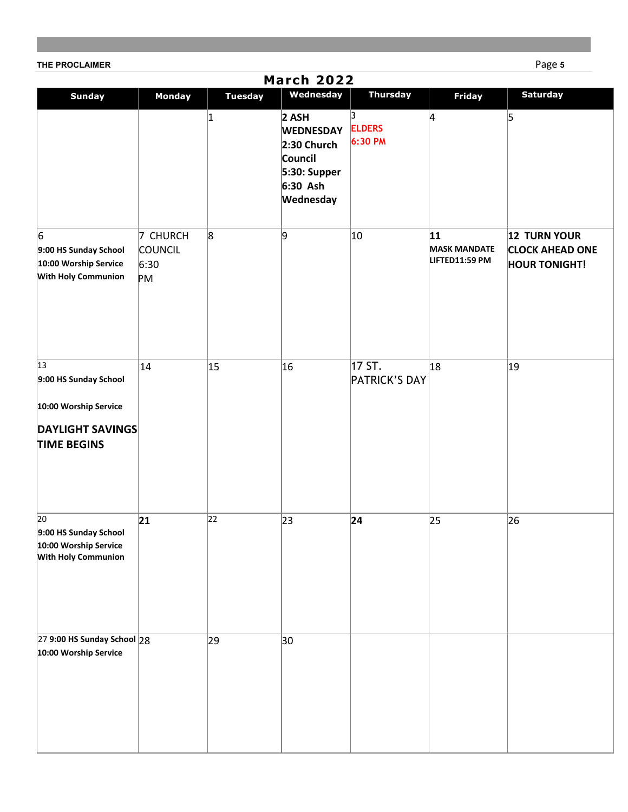| THE PROCLAIMER                                                                                                  |                                          |                |                                                                                             |                                            |                                                       | Page 5                                                         |
|-----------------------------------------------------------------------------------------------------------------|------------------------------------------|----------------|---------------------------------------------------------------------------------------------|--------------------------------------------|-------------------------------------------------------|----------------------------------------------------------------|
| <b>March 2022</b>                                                                                               |                                          |                |                                                                                             |                                            |                                                       |                                                                |
| <b>Sunday</b>                                                                                                   | <b>Monday</b>                            | <b>Tuesday</b> | Wednesday                                                                                   | <b>Thursday</b>                            | <b>Friday</b>                                         | <b>Saturday</b>                                                |
|                                                                                                                 |                                          | 1              | 2 ASH<br><b>WEDNESDAY</b><br>2:30 Church<br>Council<br>5:30:Supper<br>6:30 Ash<br>Wednesday | $\overline{3}$<br><b>ELDERS</b><br>6:30 PM | 4                                                     | $\vert$ 5                                                      |
| 6 <br>9:00 HS Sunday School<br>10:00 Worship Service<br>With Holy Communion                                     | 7 CHURCH<br><b>COUNCIL</b><br>6:30<br>PM | 8              | 9                                                                                           | 10                                         | $ 11\rangle$<br><b>MASK MANDATE</b><br>LIFTED11:59 PM | 12 TURN YOUR<br><b>CLOCK AHEAD ONE</b><br><b>HOUR TONIGHT!</b> |
| $ 13\rangle$<br>9:00 HS Sunday School<br>10:00 Worship Service<br><b>DAYLIGHT SAVINGS</b><br><b>TIME BEGINS</b> | 14                                       | 15             | 16                                                                                          | 17 ST.<br><b>PATRICK'S DAY</b>             | 18                                                    | $ 19\rangle$                                                   |
| 20<br>9:00 HS Sunday School<br>10:00 Worship Service<br>With Holy Communion                                     | 21                                       | 22             | 23                                                                                          | 24                                         | 25                                                    | 26                                                             |
| $27$ 9:00 HS Sunday School $ 28$<br>10:00 Worship Service                                                       |                                          | 29             | 30                                                                                          |                                            |                                                       |                                                                |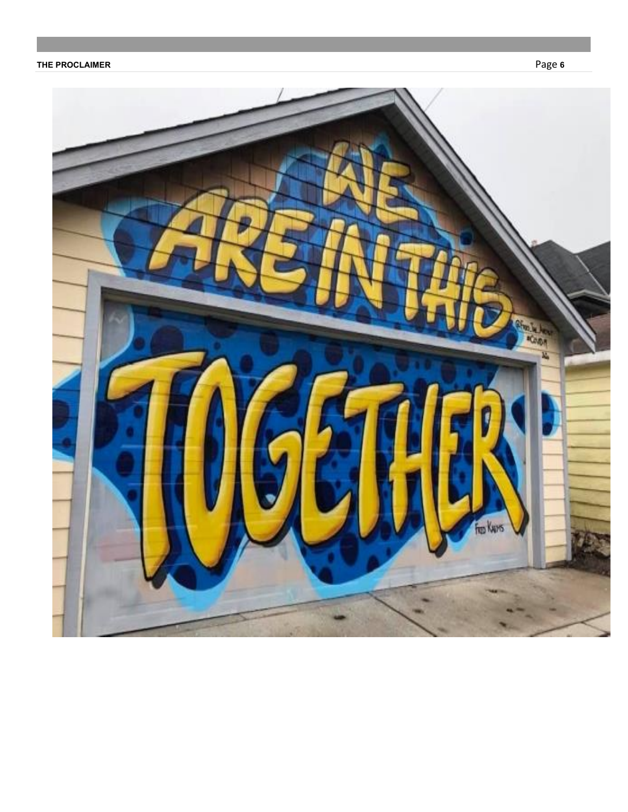

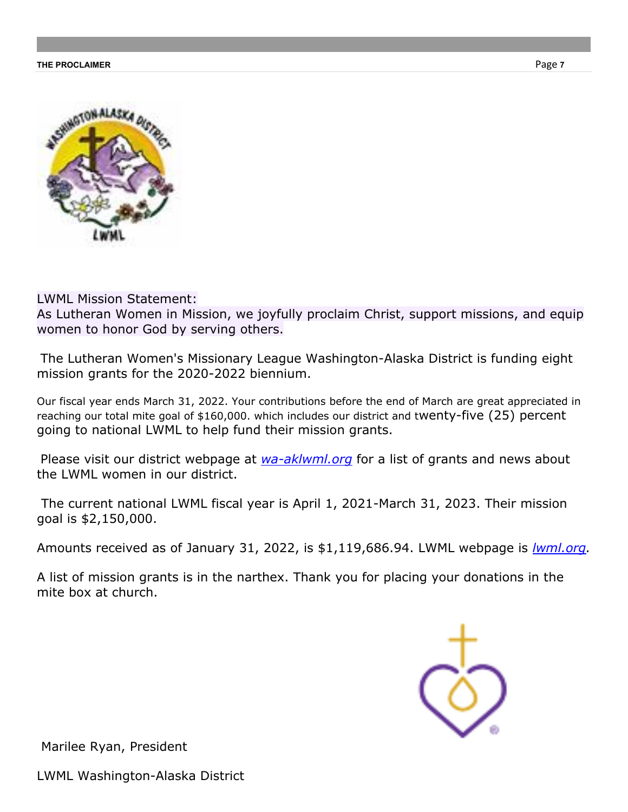#### **THE PROCLAIMER** PAGE 2022 **Page 7**



### LWML Mission Statement:

As Lutheran Women in Mission, we joyfully proclaim Christ, support missions, and equip women to honor God by serving others.

The Lutheran Women's Missionary League Washington-Alaska District is funding eight mission grants for the 2020-2022 biennium.

Our fiscal year ends March 31, 2022. Your contributions before the end of March are great appreciated in reaching our total mite goal of \$160,000. which includes our district and twenty-five (25) percent going to national LWML to help fund their mission grants.

Please visit our district webpage at *[wa-aklwml.org](http://wa-aklwml.org/)* for a list of grants and news about the LWML women in our district.

The current national LWML fiscal year is April 1, 2021-March 31, 2023. Their mission goal is \$2,150,000.

Amounts received as of January 31, 2022, is \$1,119,686.94. LWML webpage is *[lwml.org.](http://lwml.org/)*

A list of mission grants is in the narthex. Thank you for placing your donations in the mite box at church.



Marilee Ryan, President

LWML Washington-Alaska District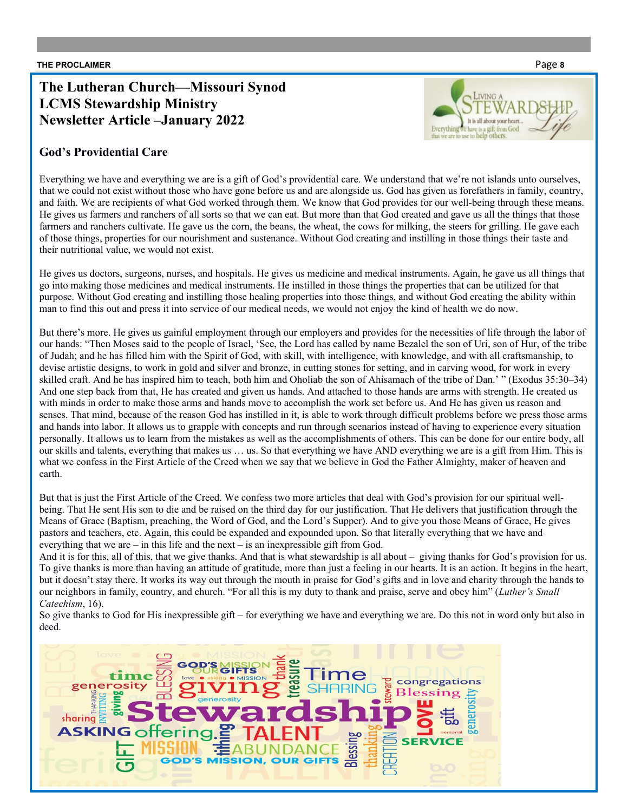### **The Lutheran Church²Missouri Synod LCMS Stewardship Ministry Newsletter Article ±January 2022**



### **God's Providential Care**

Everything we have and everything we are is a gift of God's providential care. We understand that we're not islands unto ourselves, that we could not exist without those who have gone before us and are alongside us. God has given us forefathers in family, country, and faith. We are recipients of what God worked through them. We know that God provides for our well-being through these means. He gives us farmers and ranchers of all sorts so that we can eat. But more than that God created and gave us all the things that those farmers and ranchers cultivate. He gave us the corn, the beans, the wheat, the cows for milking, the steers for grilling. He gave each of those things, properties for our nourishment and sustenance. Without God creating and instilling in those things their taste and their nutritional value, we would not exist.

He gives us doctors, surgeons, nurses, and hospitals. He gives us medicine and medical instruments. Again, he gave us all things that go into making those medicines and medical instruments. He instilled in those things the properties that can be utilized for that purpose. Without God creating and instilling those healing properties into those things, and without God creating the ability within man to find this out and press it into service of our medical needs, we would not enjoy the kind of health we do now.

But there's more. He gives us gainful employment through our employers and provides for the necessities of life through the labor of our hands: "Then Moses said to the people of Israel, 'See, the Lord has called by name Bezalel the son of Uri, son of Hur, of the tribe of Judah; and he has filled him with the Spirit of God, with skill, with intelligence, with knowledge, and with all craftsmanship, to devise artistic designs, to work in gold and silver and bronze, in cutting stones for setting, and in carving wood, for work in every skilled craft. And he has inspired him to teach, both him and Oholiab the son of Ahisamach of the tribe of Dan.' " (Exodus 35:30–34) And one step back from that, He has created and given us hands. And attached to those hands are arms with strength. He created us with minds in order to make those arms and hands move to accomplish the work set before us. And He has given us reason and senses. That mind, because of the reason God has instilled in it, is able to work through difficult problems before we press those arms and hands into labor. It allows us to grapple with concepts and run through scenarios instead of having to experience every situation personally. It allows us to learn from the mistakes as well as the accomplishments of others. This can be done for our entire body, all our skills and talents, everything that makes us ... us. So that everything we have AND everything we are is a gift from Him. This is what we confess in the First Article of the Creed when we say that we believe in God the Father Almighty, maker of heaven and earth.

But that is just the First Article of the Creed. We confess two more articles that deal with God's provision for our spiritual wellbeing. That He sent His son to die and be raised on the third day for our justification. That He delivers that justification through the Means of Grace (Baptism, preaching, the Word of God, and the Lord's Supper). And to give you those Means of Grace, He gives pastors and teachers, etc. Again, this could be expanded and expounded upon. So that literally everything that we have and everything that we are  $-\text{ in this life}$  and the next  $-\text{ is an inexpensive}$  is an inexpressible gift from God.

And it is for this, all of this, that we give thanks. And that is what stewardship is all about - giving thanks for God's provision for us. To give thanks is more than having an attitude of gratitude, more than just a feeling in our hearts. It is an action. It begins in the heart, but it doesn't stay there. It works its way out through the mouth in praise for God's gifts and in love and charity through the hands to our neighbors in family, country, and church. "For all this is my duty to thank and praise, serve and obey him" (Luther's Small *Catechism*, 16).

So give thanks to God for His inexpressible gift – for everything we have and everything we are. Do this not in word only but also in deed.